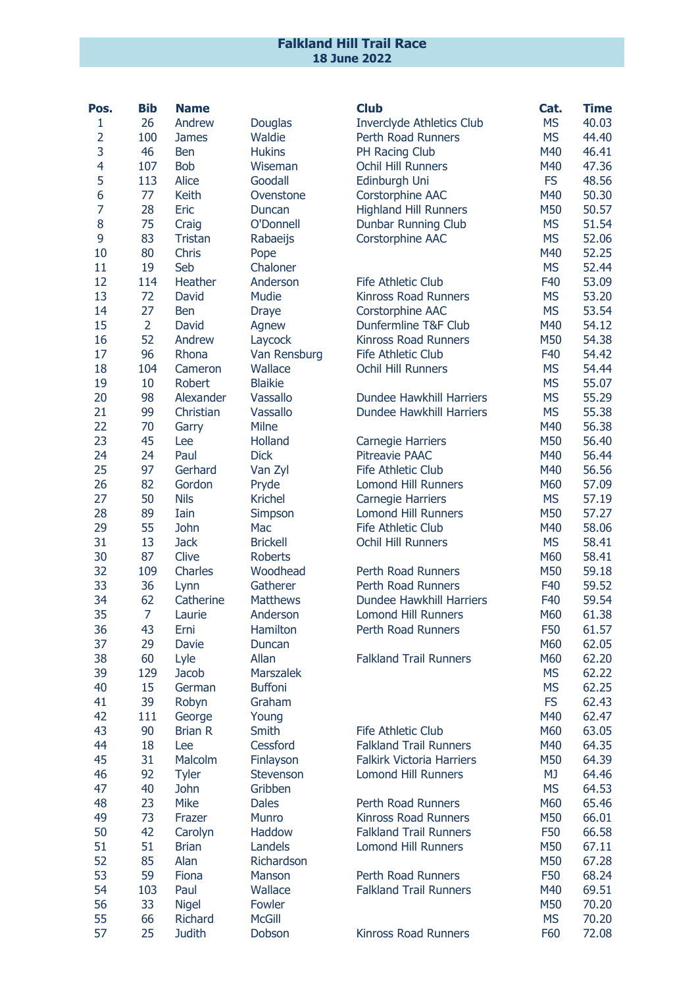## Falkland Hill Trail Race 18 June 2022

| Pos.           | <b>Bib</b>     | <b>Name</b>    |                      | <b>Club</b>                                            | Cat.       | <b>Time</b>    |
|----------------|----------------|----------------|----------------------|--------------------------------------------------------|------------|----------------|
| 1              | 26             | Andrew         | Douglas              | <b>Inverclyde Athletics Club</b>                       | <b>MS</b>  | 40.03          |
| $\overline{2}$ | 100            | <b>James</b>   | Waldie               | Perth Road Runners                                     | <b>MS</b>  | 44.40          |
| 3              | 46             | <b>Ben</b>     | <b>Hukins</b>        | PH Racing Club                                         | M40        | 46.41          |
| $\overline{4}$ | 107            | <b>Bob</b>     | Wiseman              | Ochil Hill Runners                                     | M40        | 47.36          |
| 5              | 113            | <b>Alice</b>   | Goodall              | Edinburgh Uni                                          | <b>FS</b>  | 48.56          |
| 6              | 77             | Keith          | Ovenstone            | Corstorphine AAC                                       | M40        | 50.30          |
| $\overline{7}$ | 28             | Eric           | Duncan               | <b>Highland Hill Runners</b>                           | M50        | 50.57          |
| 8              | 75             | Craig          | O'Donnell            | Dunbar Running Club                                    | <b>MS</b>  | 51.54          |
| 9              | 83             | <b>Tristan</b> | Rabaeijs             | Corstorphine AAC                                       | <b>MS</b>  | 52.06          |
| 10             | 80             | Chris          | Pope                 |                                                        | M40        | 52.25          |
| 11             | 19             | Seb            | Chaloner             |                                                        | <b>MS</b>  | 52.44          |
| 12             | 114            | Heather        | Anderson             | <b>Fife Athletic Club</b>                              | F40        | 53.09          |
| 13             | 72             | David          | Mudie                | <b>Kinross Road Runners</b>                            | <b>MS</b>  | 53.20          |
| 14             | 27             | <b>Ben</b>     | <b>Draye</b>         | Corstorphine AAC                                       | <b>MS</b>  | 53.54          |
| 15             | $\overline{2}$ | David          | Agnew                | Dunfermline T&F Club                                   | M40        | 54.12          |
| 16             | 52             | Andrew         | Laycock              | <b>Kinross Road Runners</b>                            | M50        | 54.38          |
| 17             | 96             | Rhona          | Van Rensburg         | <b>Fife Athletic Club</b>                              | F40        | 54.42          |
| 18             | 104            | Cameron        | Wallace              | <b>Ochil Hill Runners</b>                              | <b>MS</b>  | 54.44          |
| 19             | 10             | Robert         | <b>Blaikie</b>       |                                                        | <b>MS</b>  | 55.07          |
| 20             | 98             | Alexander      | Vassallo             | Dundee Hawkhill Harriers                               | <b>MS</b>  | 55.29          |
| 21             | 99             | Christian      | Vassallo             | Dundee Hawkhill Harriers                               | <b>MS</b>  | 55.38          |
| 22             | 70             | Garry          | Milne                |                                                        | M40        | 56.38          |
| 23             | 45             | Lee            | Holland              | <b>Carnegie Harriers</b>                               | M50        | 56.40          |
| 24             | 24             | Paul           | <b>Dick</b>          | <b>Pitreavie PAAC</b>                                  | M40        | 56.44          |
| 25             | 97             | Gerhard        | Van Zyl              | <b>Fife Athletic Club</b>                              | M40        | 56.56          |
| 26             | 82             | Gordon         | Pryde                | <b>Lomond Hill Runners</b>                             | M60        | 57.09          |
| 27             | 50             | <b>Nils</b>    | <b>Krichel</b>       | Carnegie Harriers                                      | <b>MS</b>  | 57.19          |
| 28             | 89             | Iain           | Simpson              | <b>Lomond Hill Runners</b>                             | M50        | 57.27          |
| 29             | 55             | John           | Mac                  | <b>Fife Athletic Club</b>                              | M40        | 58.06          |
| 31             | 13             | <b>Jack</b>    | <b>Brickell</b>      | <b>Ochil Hill Runners</b>                              | <b>MS</b>  | 58.41          |
| 30             | 87             | Clive          | <b>Roberts</b>       |                                                        | M60        | 58.41          |
| 32             | 109            | Charles        | Woodhead             | <b>Perth Road Runners</b>                              | M50        | 59.18          |
| 33             | 36             | Lynn           | Gatherer             | <b>Perth Road Runners</b>                              | F40<br>F40 | 59.52<br>59.54 |
| 34<br>35       | 62<br>7        | Catherine      | <b>Matthews</b>      | Dundee Hawkhill Harriers<br><b>Lomond Hill Runners</b> | M60        | 61.38          |
| 36             | 43             | Laurie<br>Erni | Anderson<br>Hamilton | <b>Perth Road Runners</b>                              | F50        | 61.57          |
| 37             | 29             | Davie          | Duncan               |                                                        | M60        | 62.05          |
| 38             | 60             | Lyle           | Allan                | <b>Falkland Trail Runners</b>                          | M60        | 62.20          |
| 39             | 129            | <b>Jacob</b>   | <b>Marszalek</b>     |                                                        | <b>MS</b>  | 62.22          |
| 40             | 15             | German         | <b>Buffoni</b>       |                                                        | <b>MS</b>  | 62.25          |
| 41             | 39             | Robyn          | Graham               |                                                        | <b>FS</b>  | 62.43          |
| 42             | 111            | George         | Young                |                                                        | M40        | 62.47          |
| 43             | 90             | <b>Brian R</b> | Smith                | <b>Fife Athletic Club</b>                              | M60        | 63.05          |
| 44             | 18             | Lee            | Cessford             | <b>Falkland Trail Runners</b>                          | M40        | 64.35          |
| 45             | 31             | Malcolm        | Finlayson            | <b>Falkirk Victoria Harriers</b>                       | M50        | 64.39          |
| 46             | 92             | <b>Tyler</b>   | Stevenson            | <b>Lomond Hill Runners</b>                             | <b>MJ</b>  | 64.46          |
| 47             | 40             | <b>John</b>    | Gribben              |                                                        | <b>MS</b>  | 64.53          |
| 48             | 23             | <b>Mike</b>    | <b>Dales</b>         | Perth Road Runners                                     | M60        | 65.46          |
| 49             | 73             | Frazer         | Munro                | <b>Kinross Road Runners</b>                            | M50        | 66.01          |
| 50             | 42             | Carolyn        | Haddow               | <b>Falkland Trail Runners</b>                          | F50        | 66.58          |
| 51             | 51             | <b>Brian</b>   | Landels              | <b>Lomond Hill Runners</b>                             | M50        | 67.11          |
| 52             | 85             | Alan           | Richardson           |                                                        | M50        | 67.28          |
| 53             | 59             | <b>Fiona</b>   | Manson               | Perth Road Runners                                     | F50        | 68.24          |
| 54             | 103            | Paul           | Wallace              | <b>Falkland Trail Runners</b>                          | M40        | 69.51          |
| 56             | 33             | <b>Nigel</b>   | Fowler               |                                                        | M50        | 70.20          |
| 55             | 66             | <b>Richard</b> | <b>McGill</b>        |                                                        | <b>MS</b>  | 70.20          |
| 57             | 25             | <b>Judith</b>  | Dobson               | Kinross Road Runners                                   | F60        | 72.08          |
|                |                |                |                      |                                                        |            |                |